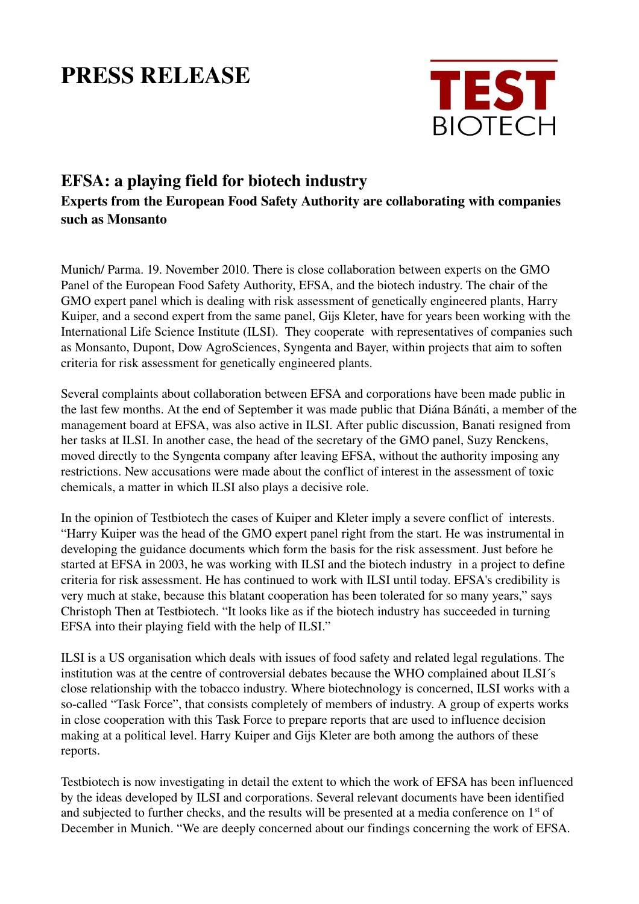## PRESS RELEASE



## EFSA: a playing field for biotech industry Experts from the European Food Safety Authority are collaborating with companies such as Monsanto

Munich/ Parma. 19. November 2010. There is close collaboration between experts on the GMO Panel of the European Food Safety Authority, EFSA, and the biotech industry. The chair of the GMO expert panel which is dealing with risk assessment of genetically engineered plants, Harry Kuiper, and a second expert from the same panel, Gijs Kleter, have for years been working with the International Life Science Institute (ILSI). They cooperate with representatives of companies such as Monsanto, Dupont, Dow AgroSciences, Syngenta and Bayer, within projects that aim to soften criteria for risk assessment for genetically engineered plants.

Several complaints about collaboration between EFSA and corporations have been made public in the last few months. At the end of September it was made public that Diána Bánáti, a member of the management board at EFSA, was also active in ILSI. After public discussion, Banati resigned from her tasks at ILSI. In another case, the head of the secretary of the GMO panel, Suzy Renckens, moved directly to the Syngenta company after leaving EFSA, without the authority imposing any restrictions. New accusations were made about the conflict of interest in the assessment of toxic chemicals, a matter in which ILSI also plays a decisive role.

In the opinion of Testbiotech the cases of Kuiper and Kleter imply a severe conflict of interests. "Harry Kuiper was the head of the GMO expert panel right from the start. He was instrumental in developing the guidance documents which form the basis for the risk assessment. Just before he started at EFSA in 2003, he was working with ILSI and the biotech industry in a project to define criteria for risk assessment. He has continued to work with ILSI until today. EFSA's credibility is very much at stake, because this blatant cooperation has been tolerated for so many years," says Christoph Then at Testbiotech. "It looks like as if the biotech industry has succeeded in turning EFSA into their playing field with the help of ILSI."

ILSI is a US organisation which deals with issues of food safety and related legal regulations. The institution was at the centre of controversial debates because the WHO complained about ILSI´s close relationship with the tobacco industry. Where biotechnology is concerned, ILSI works with a so-called "Task Force", that consists completely of members of industry. A group of experts works in close cooperation with this Task Force to prepare reports that are used to influence decision making at a political level. Harry Kuiper and Gijs Kleter are both among the authors of these reports.

Testbiotech is now investigating in detail the extent to which the work of EFSA has been influenced by the ideas developed by ILSI and corporations. Several relevant documents have been identified and subjected to further checks, and the results will be presented at a media conference on  $1<sup>st</sup>$  of December in Munich. "We are deeply concerned about our findings concerning the work of EFSA.